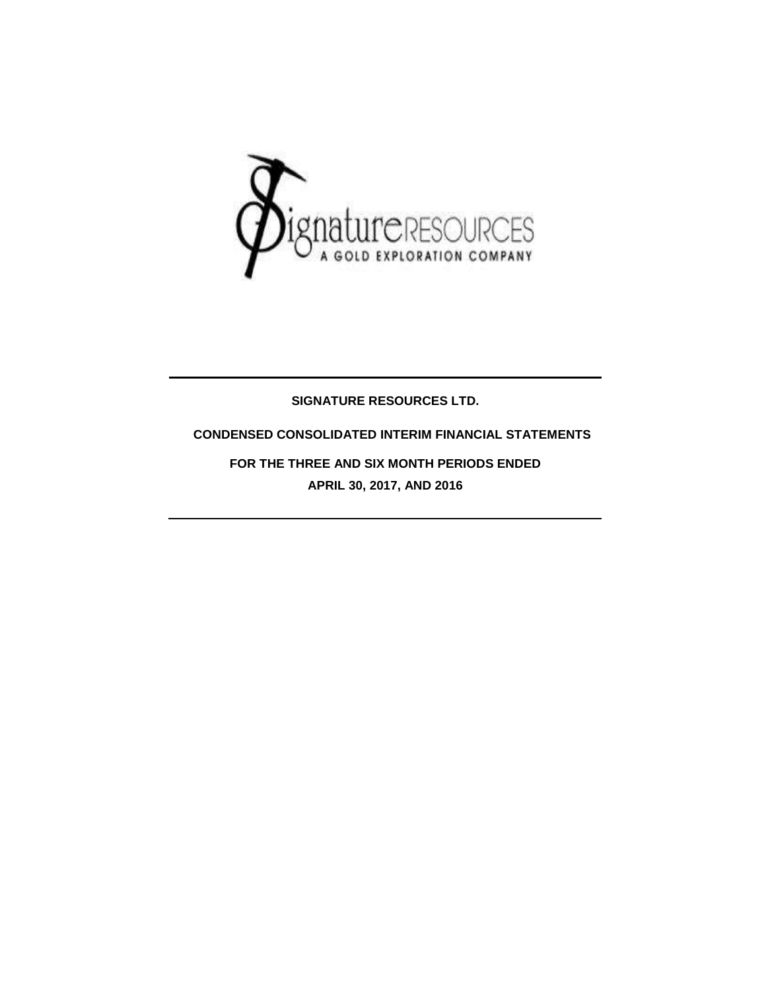

### **SIGNATURE RESOURCES LTD.**

### **CONDENSED CONSOLIDATED INTERIM FINANCIAL STATEMENTS**

**FOR THE THREE AND SIX MONTH PERIODS ENDED APRIL 30, 2017, AND 2016**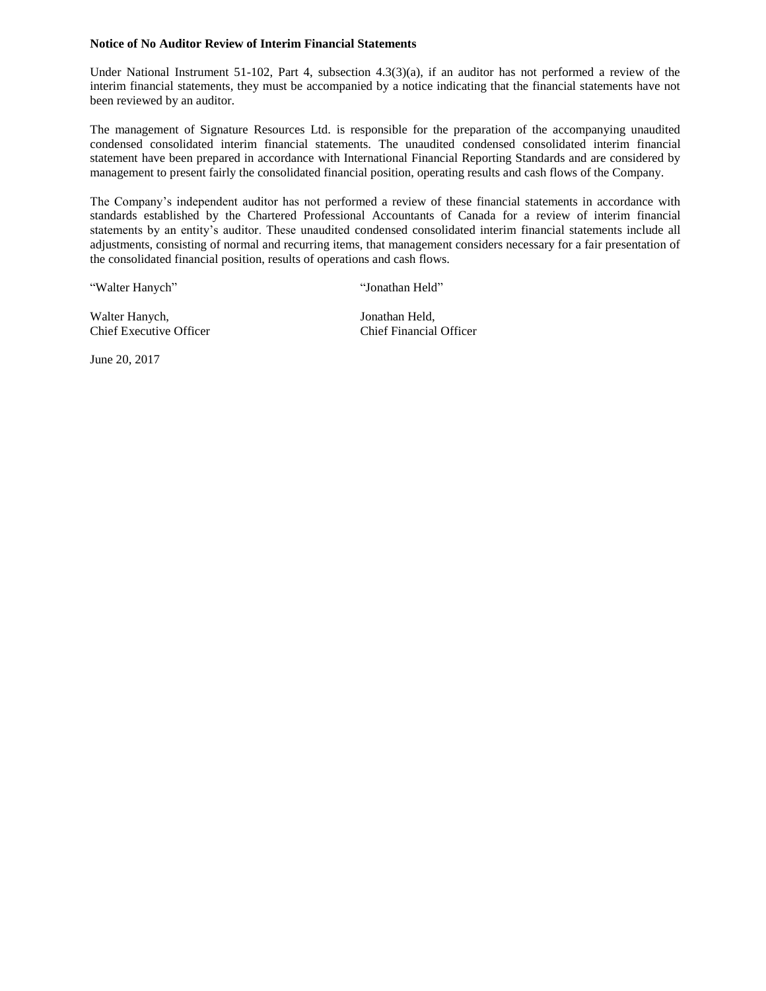#### **Notice of No Auditor Review of Interim Financial Statements**

Under National Instrument 51-102, Part 4, subsection 4.3(3)(a), if an auditor has not performed a review of the interim financial statements, they must be accompanied by a notice indicating that the financial statements have not been reviewed by an auditor.

The management of Signature Resources Ltd. is responsible for the preparation of the accompanying unaudited condensed consolidated interim financial statements. The unaudited condensed consolidated interim financial statement have been prepared in accordance with International Financial Reporting Standards and are considered by management to present fairly the consolidated financial position, operating results and cash flows of the Company.

The Company's independent auditor has not performed a review of these financial statements in accordance with standards established by the Chartered Professional Accountants of Canada for a review of interim financial statements by an entity's auditor. These unaudited condensed consolidated interim financial statements include all adjustments, consisting of normal and recurring items, that management considers necessary for a fair presentation of the consolidated financial position, results of operations and cash flows.

"Walter Hanych" "Jonathan Held"

Walter Hanych, Jonathan Held, Chief Executive Officer Chief Financial Officer

June 20, 2017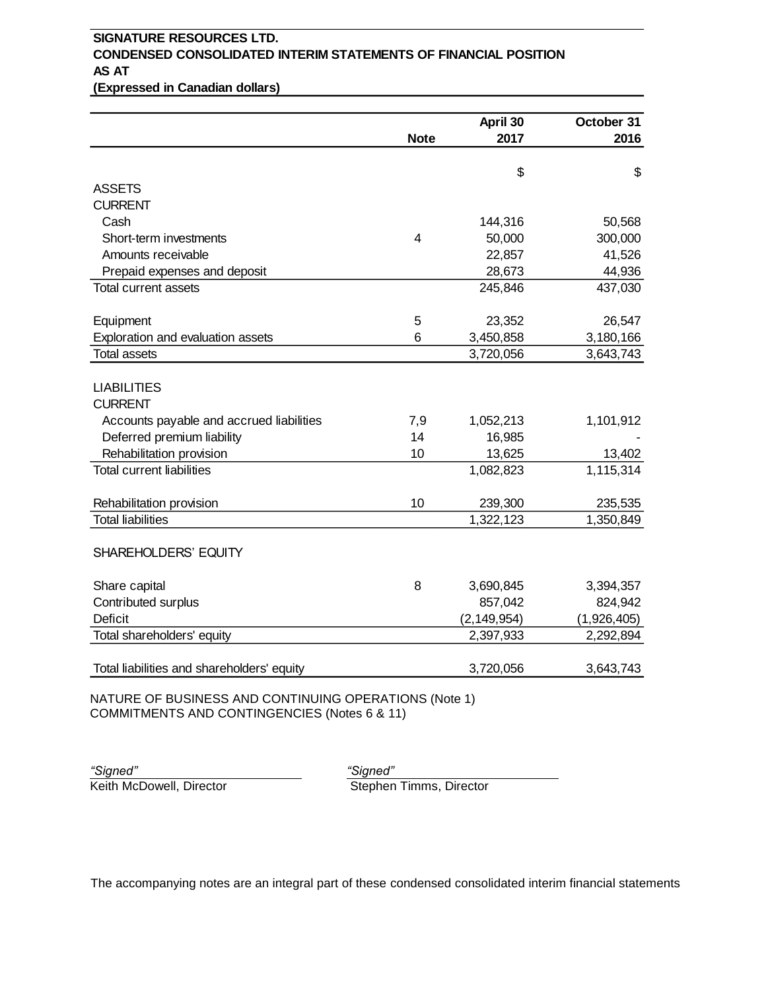# **SIGNATURE RESOURCES LTD. CONDENSED CONSOLIDATED INTERIM STATEMENTS OF FINANCIAL POSITION AS AT**

**(Expressed in Canadian dollars)**

|                |                           | October 31                                                                                                                                                             |
|----------------|---------------------------|------------------------------------------------------------------------------------------------------------------------------------------------------------------------|
| <b>Note</b>    | 2017                      | 2016                                                                                                                                                                   |
|                |                           |                                                                                                                                                                        |
|                |                           | \$                                                                                                                                                                     |
|                |                           |                                                                                                                                                                        |
|                |                           | 50,568                                                                                                                                                                 |
| $\overline{4}$ |                           | 300,000                                                                                                                                                                |
|                |                           | 41,526                                                                                                                                                                 |
|                |                           | 44,936                                                                                                                                                                 |
|                | 245,846                   | 437,030                                                                                                                                                                |
|                |                           | 26,547                                                                                                                                                                 |
| 6              |                           | 3,180,166                                                                                                                                                              |
|                | 3,720,056                 | 3,643,743                                                                                                                                                              |
|                |                           |                                                                                                                                                                        |
|                |                           |                                                                                                                                                                        |
|                |                           | 1,101,912                                                                                                                                                              |
|                |                           |                                                                                                                                                                        |
|                |                           | 13,402<br>1,115,314                                                                                                                                                    |
|                |                           |                                                                                                                                                                        |
| 10             | 239,300                   | 235,535                                                                                                                                                                |
|                | 1,322,123                 | 1,350,849                                                                                                                                                              |
|                |                           |                                                                                                                                                                        |
|                |                           | 3,394,357                                                                                                                                                              |
|                |                           | 824,942                                                                                                                                                                |
|                |                           | (1,926,405)                                                                                                                                                            |
|                | 2,397,933                 | 2,292,894                                                                                                                                                              |
|                |                           | 3,643,743                                                                                                                                                              |
|                | 5<br>7,9<br>14<br>10<br>8 | \$<br>144,316<br>50,000<br>22,857<br>28,673<br>23,352<br>3,450,858<br>1,052,213<br>16,985<br>13,625<br>1,082,823<br>3,690,845<br>857,042<br>(2, 149, 954)<br>3,720,056 |

NATURE OF BUSINESS AND CONTINUING OPERATIONS (Note 1) COMMITMENTS AND CONTINGENCIES (Notes 6 & 11)

*"Signed" "Signed"*

Keith McDowell, Director New Stephen Timms, Director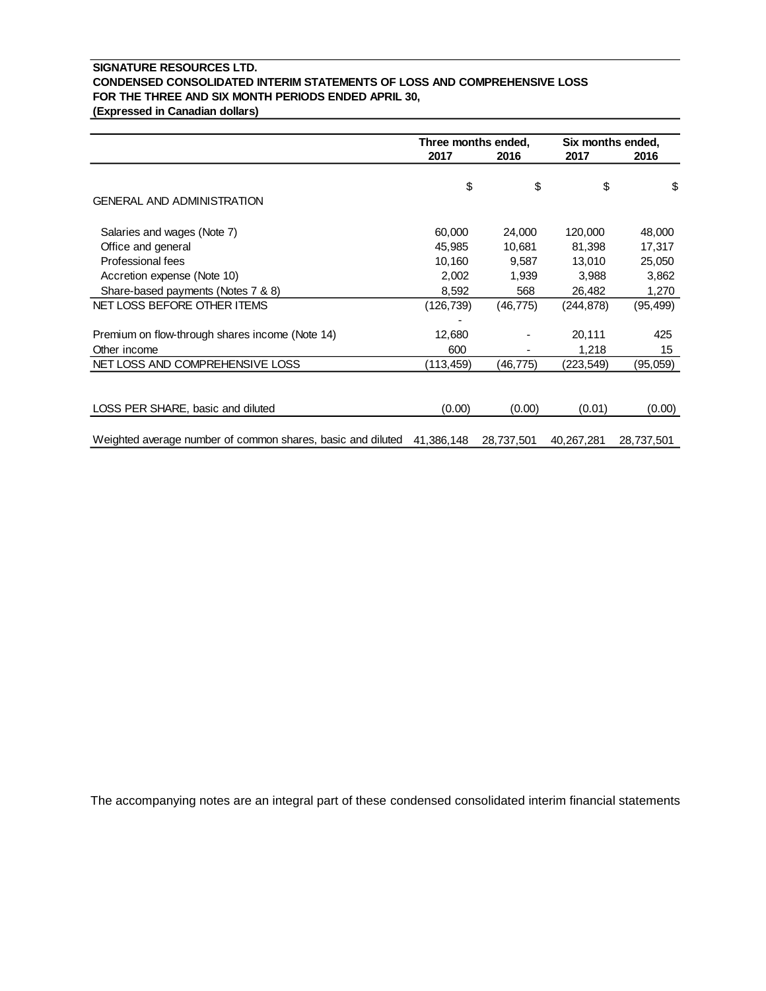### **SIGNATURE RESOURCES LTD. CONDENSED CONSOLIDATED INTERIM STATEMENTS OF LOSS AND COMPREHENSIVE LOSS FOR THE THREE AND SIX MONTH PERIODS ENDED APRIL 30,**

**(Expressed in Canadian dollars)**

|                                                             | Three months ended, |            | Six months ended, |            |
|-------------------------------------------------------------|---------------------|------------|-------------------|------------|
|                                                             | 2017                | 2016       | 2017              | 2016       |
|                                                             | \$                  | \$         | \$                | \$         |
| <b>GENERAL AND ADMINISTRATION</b>                           |                     |            |                   |            |
| Salaries and wages (Note 7)                                 | 60,000              | 24,000     | 120,000           | 48,000     |
| Office and general                                          | 45,985              | 10,681     | 81,398            | 17,317     |
| Professional fees                                           | 10,160              | 9,587      | 13,010            | 25,050     |
| Accretion expense (Note 10)                                 | 2,002               | 1,939      | 3,988             | 3,862      |
| Share-based payments (Notes 7 & 8)                          | 8,592               | 568        | 26,482            | 1,270      |
| NET LOSS BEFORE OTHER ITEMS                                 | (126, 739)          | (46, 775)  | (244, 878)        | (95, 499)  |
|                                                             |                     |            |                   |            |
| Premium on flow-through shares income (Note 14)             | 12,680              |            | 20,111            | 425        |
| Other income                                                | 600                 |            | 1,218             | 15         |
| NET LOSS AND COMPREHENSIVE LOSS                             | (113,459)           | (46,775)   | (223,549)         | (95,059)   |
|                                                             |                     |            |                   |            |
| LOSS PER SHARE, basic and diluted                           | (0.00)              | (0.00)     | (0.01)            | (0.00)     |
| Weighted average number of common shares, basic and diluted | 41,386,148          | 28,737,501 | 40,267,281        | 28,737,501 |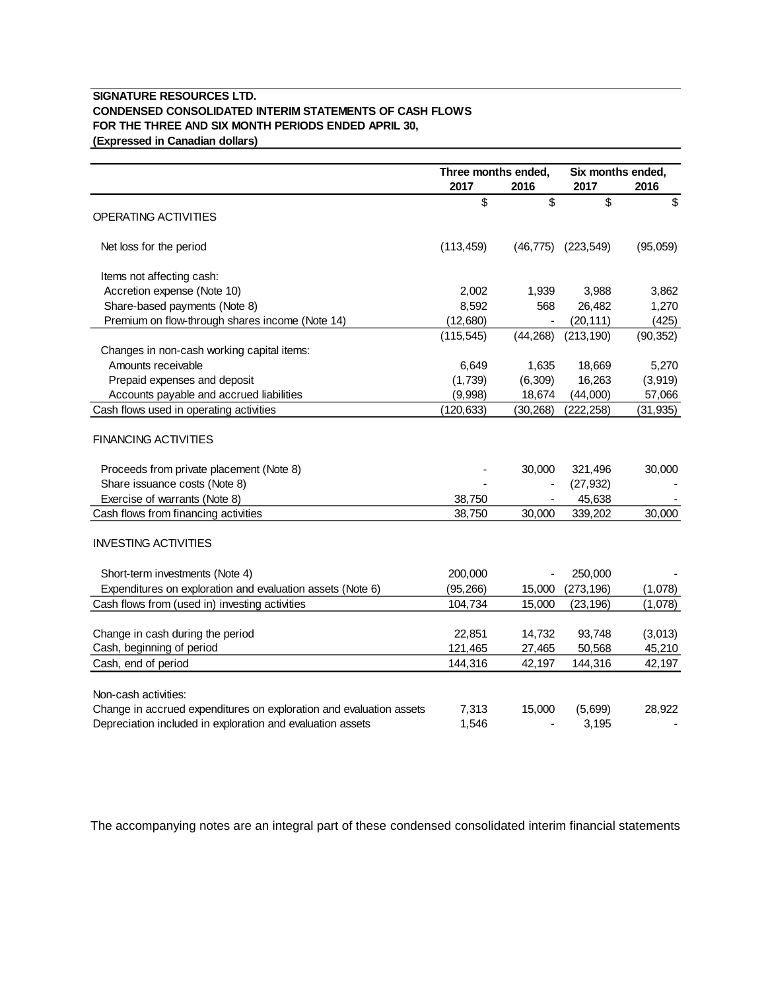### **SIGNATURE RESOURCES LTD. CONDENSED CONSOLIDATED INTERIM STATEMENTS OF CASH FLOWS FOR THE THREE AND SIX MONTH PERIODS ENDED APRIL 30, (Expressed in Canadian dollars)**

|                                                                         | Three months ended, |           | Six months ended, |           |
|-------------------------------------------------------------------------|---------------------|-----------|-------------------|-----------|
|                                                                         | 2017                | 2016      | 2017              | 2016      |
| OPERATING ACTIVITIES                                                    | \$                  | \$        | \$                | \$        |
| Net loss for the period                                                 | (113, 459)          | (46, 775) | (223, 549)        | (95,059)  |
| Items not affecting cash:                                               |                     |           |                   |           |
| Accretion expense (Note 10)                                             | 2,002               | 1,939     | 3,988             | 3,862     |
| Share-based payments (Note 8)                                           | 8,592               | 568       | 26,482            | 1,270     |
| Premium on flow-through shares income (Note 14)                         | (12,680)            |           | (20, 111)         | (425)     |
|                                                                         | (115, 545)          | (44, 268) | (213, 190)        | (90, 352) |
| Changes in non-cash working capital items:                              |                     |           |                   |           |
| Amounts receivable                                                      | 6,649               | 1,635     | 18,669            | 5,270     |
| Prepaid expenses and deposit                                            | (1,739)             | (6, 309)  | 16,263            | (3,919)   |
| Accounts payable and accrued liabilities                                | (9,998)             | 18,674    | (44,000)          | 57,066    |
| Cash flows used in operating activities                                 | (120, 633)          | (30, 268) | (222, 258)        | (31, 935) |
| <b>FINANCING ACTIVITIES</b><br>Proceeds from private placement (Note 8) |                     | 30,000    | 321,496           | 30,000    |
| Share issuance costs (Note 8)                                           |                     |           | (27, 932)         |           |
| Exercise of warrants (Note 8)                                           | 38,750              |           | 45,638            |           |
| Cash flows from financing activities                                    | 38,750              | 30,000    | 339,202           | 30,000    |
| <b>INVESTING ACTIVITIES</b>                                             |                     |           |                   |           |
| Short-term investments (Note 4)                                         | 200,000             |           | 250,000           |           |
| Expenditures on exploration and evaluation assets (Note 6)              | (95, 266)           | 15,000    | (273, 196)        | (1,078)   |
| Cash flows from (used in) investing activities                          | 104,734             | 15,000    | (23, 196)         | (1,078)   |
| Change in cash during the period                                        | 22,851              | 14,732    | 93,748            | (3,013)   |
| Cash, beginning of period                                               | 121,465             | 27,465    | 50,568            | 45,210    |
| Cash, end of period                                                     | 144,316             | 42,197    | 144,316           | 42,197    |
|                                                                         |                     |           |                   |           |
| Non-cash activities:                                                    |                     |           |                   |           |
| Change in accrued expenditures on exploration and evaluation assets     | 7,313               | 15,000    | (5,699)           | 28,922    |
| Depreciation included in exploration and evaluation assets              | 1,546               |           | 3.195             |           |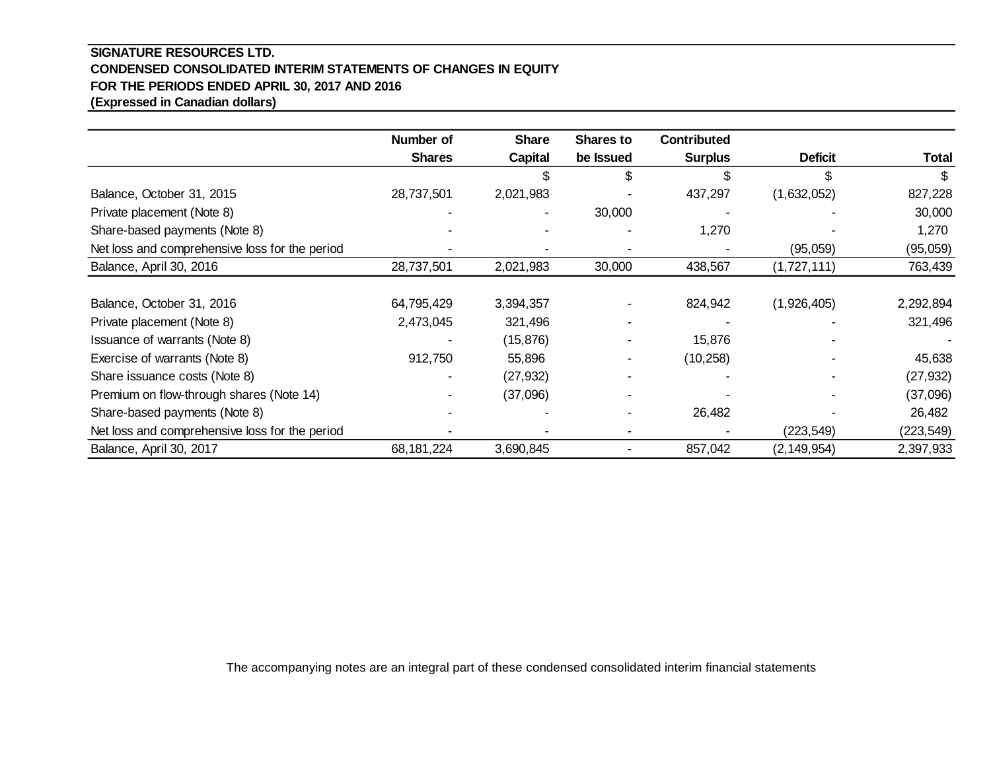### **SIGNATURE RESOURCES LTD. CONDENSED CONSOLIDATED INTERIM STATEMENTS OF CHANGES IN EQUITY FOR THE PERIODS ENDED APRIL 30, 2017 AND 2016 (Expressed in Canadian dollars)**

|                                                | Number of     | <b>Share</b> | <b>Shares to</b> | <b>Contributed</b> |                |              |
|------------------------------------------------|---------------|--------------|------------------|--------------------|----------------|--------------|
|                                                | <b>Shares</b> | Capital      | be Issued        | <b>Surplus</b>     | <b>Deficit</b> | <b>Total</b> |
|                                                |               |              | \$               |                    | \$             |              |
| Balance, October 31, 2015                      | 28,737,501    | 2,021,983    |                  | 437,297            | (1,632,052)    | 827,228      |
| Private placement (Note 8)                     |               |              | 30,000           |                    |                | 30,000       |
| Share-based payments (Note 8)                  |               |              |                  | 1,270              |                | 1,270        |
| Net loss and comprehensive loss for the period |               |              |                  |                    | (95,059)       | (95,059)     |
| Balance, April 30, 2016                        | 28,737,501    | 2,021,983    | 30,000           | 438,567            | (1,727,111)    | 763,439      |
|                                                |               |              |                  |                    |                |              |
| Balance, October 31, 2016                      | 64,795,429    | 3,394,357    |                  | 824,942            | (1,926,405)    | 2,292,894    |
| Private placement (Note 8)                     | 2,473,045     | 321,496      |                  |                    |                | 321,496      |
| Issuance of warrants (Note 8)                  |               | (15, 876)    |                  | 15,876             |                |              |
| Exercise of warrants (Note 8)                  | 912,750       | 55,896       |                  | (10, 258)          |                | 45,638       |
| Share issuance costs (Note 8)                  |               | (27, 932)    |                  |                    |                | (27, 932)    |
| Premium on flow-through shares (Note 14)       |               | (37,096)     |                  |                    |                | (37,096)     |
| Share-based payments (Note 8)                  |               |              |                  | 26,482             |                | 26,482       |
| Net loss and comprehensive loss for the period |               |              |                  |                    | (223, 549)     | (223, 549)   |
| Balance, April 30, 2017                        | 68,181,224    | 3,690,845    |                  | 857,042            | (2, 149, 954)  | 2,397,933    |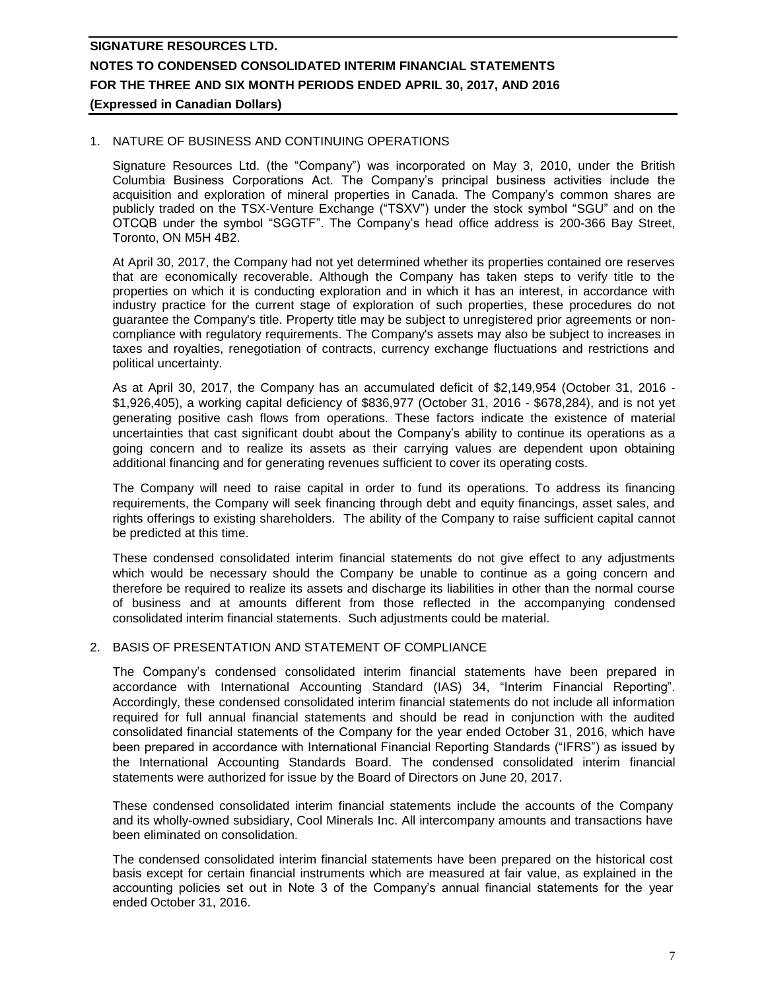### 1. NATURE OF BUSINESS AND CONTINUING OPERATIONS

Signature Resources Ltd. (the "Company") was incorporated on May 3, 2010, under the British Columbia Business Corporations Act. The Company's principal business activities include the acquisition and exploration of mineral properties in Canada. The Company's common shares are publicly traded on the TSX-Venture Exchange ("TSXV") under the stock symbol "SGU" and on the OTCQB under the symbol "SGGTF". The Company's head office address is 200-366 Bay Street, Toronto, ON M5H 4B2.

At April 30, 2017, the Company had not yet determined whether its properties contained ore reserves that are economically recoverable. Although the Company has taken steps to verify title to the properties on which it is conducting exploration and in which it has an interest, in accordance with industry practice for the current stage of exploration of such properties, these procedures do not guarantee the Company's title. Property title may be subject to unregistered prior agreements or noncompliance with regulatory requirements. The Company's assets may also be subject to increases in taxes and royalties, renegotiation of contracts, currency exchange fluctuations and restrictions and political uncertainty.

As at April 30, 2017, the Company has an accumulated deficit of \$2,149,954 (October 31, 2016 - \$1,926,405), a working capital deficiency of \$836,977 (October 31, 2016 - \$678,284), and is not yet generating positive cash flows from operations. These factors indicate the existence of material uncertainties that cast significant doubt about the Company's ability to continue its operations as a going concern and to realize its assets as their carrying values are dependent upon obtaining additional financing and for generating revenues sufficient to cover its operating costs.

The Company will need to raise capital in order to fund its operations. To address its financing requirements, the Company will seek financing through debt and equity financings, asset sales, and rights offerings to existing shareholders. The ability of the Company to raise sufficient capital cannot be predicted at this time.

These condensed consolidated interim financial statements do not give effect to any adjustments which would be necessary should the Company be unable to continue as a going concern and therefore be required to realize its assets and discharge its liabilities in other than the normal course of business and at amounts different from those reflected in the accompanying condensed consolidated interim financial statements. Such adjustments could be material.

### 2. BASIS OF PRESENTATION AND STATEMENT OF COMPLIANCE

The Company's condensed consolidated interim financial statements have been prepared in accordance with International Accounting Standard (IAS) 34, "Interim Financial Reporting". Accordingly, these condensed consolidated interim financial statements do not include all information required for full annual financial statements and should be read in conjunction with the audited consolidated financial statements of the Company for the year ended October 31, 2016, which have been prepared in accordance with International Financial Reporting Standards ("IFRS") as issued by the International Accounting Standards Board. The condensed consolidated interim financial statements were authorized for issue by the Board of Directors on June 20, 2017.

These condensed consolidated interim financial statements include the accounts of the Company and its wholly-owned subsidiary, Cool Minerals Inc. All intercompany amounts and transactions have been eliminated on consolidation.

The condensed consolidated interim financial statements have been prepared on the historical cost basis except for certain financial instruments which are measured at fair value, as explained in the accounting policies set out in Note 3 of the Company's annual financial statements for the year ended October 31, 2016.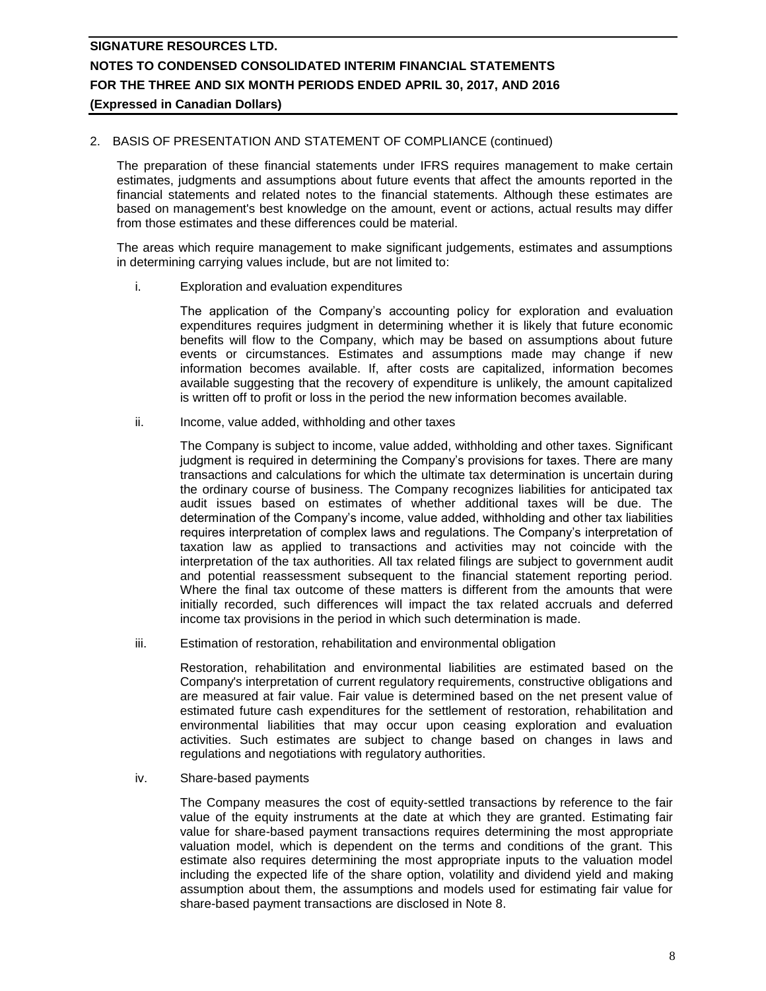### 2. BASIS OF PRESENTATION AND STATEMENT OF COMPLIANCE (continued)

The preparation of these financial statements under IFRS requires management to make certain estimates, judgments and assumptions about future events that affect the amounts reported in the financial statements and related notes to the financial statements. Although these estimates are based on management's best knowledge on the amount, event or actions, actual results may differ from those estimates and these differences could be material.

The areas which require management to make significant judgements, estimates and assumptions in determining carrying values include, but are not limited to:

i. Exploration and evaluation expenditures

The application of the Company's accounting policy for exploration and evaluation expenditures requires judgment in determining whether it is likely that future economic benefits will flow to the Company, which may be based on assumptions about future events or circumstances. Estimates and assumptions made may change if new information becomes available. If, after costs are capitalized, information becomes available suggesting that the recovery of expenditure is unlikely, the amount capitalized is written off to profit or loss in the period the new information becomes available.

ii. Income, value added, withholding and other taxes

The Company is subject to income, value added, withholding and other taxes. Significant judgment is required in determining the Company's provisions for taxes. There are many transactions and calculations for which the ultimate tax determination is uncertain during the ordinary course of business. The Company recognizes liabilities for anticipated tax audit issues based on estimates of whether additional taxes will be due. The determination of the Company's income, value added, withholding and other tax liabilities requires interpretation of complex laws and regulations. The Company's interpretation of taxation law as applied to transactions and activities may not coincide with the interpretation of the tax authorities. All tax related filings are subject to government audit and potential reassessment subsequent to the financial statement reporting period. Where the final tax outcome of these matters is different from the amounts that were initially recorded, such differences will impact the tax related accruals and deferred income tax provisions in the period in which such determination is made.

iii. Estimation of restoration, rehabilitation and environmental obligation

Restoration, rehabilitation and environmental liabilities are estimated based on the Company's interpretation of current regulatory requirements, constructive obligations and are measured at fair value. Fair value is determined based on the net present value of estimated future cash expenditures for the settlement of restoration, rehabilitation and environmental liabilities that may occur upon ceasing exploration and evaluation activities. Such estimates are subject to change based on changes in laws and regulations and negotiations with regulatory authorities.

iv. Share-based payments

The Company measures the cost of equity-settled transactions by reference to the fair value of the equity instruments at the date at which they are granted. Estimating fair value for share-based payment transactions requires determining the most appropriate valuation model, which is dependent on the terms and conditions of the grant. This estimate also requires determining the most appropriate inputs to the valuation model including the expected life of the share option, volatility and dividend yield and making assumption about them, the assumptions and models used for estimating fair value for share-based payment transactions are disclosed in Note 8.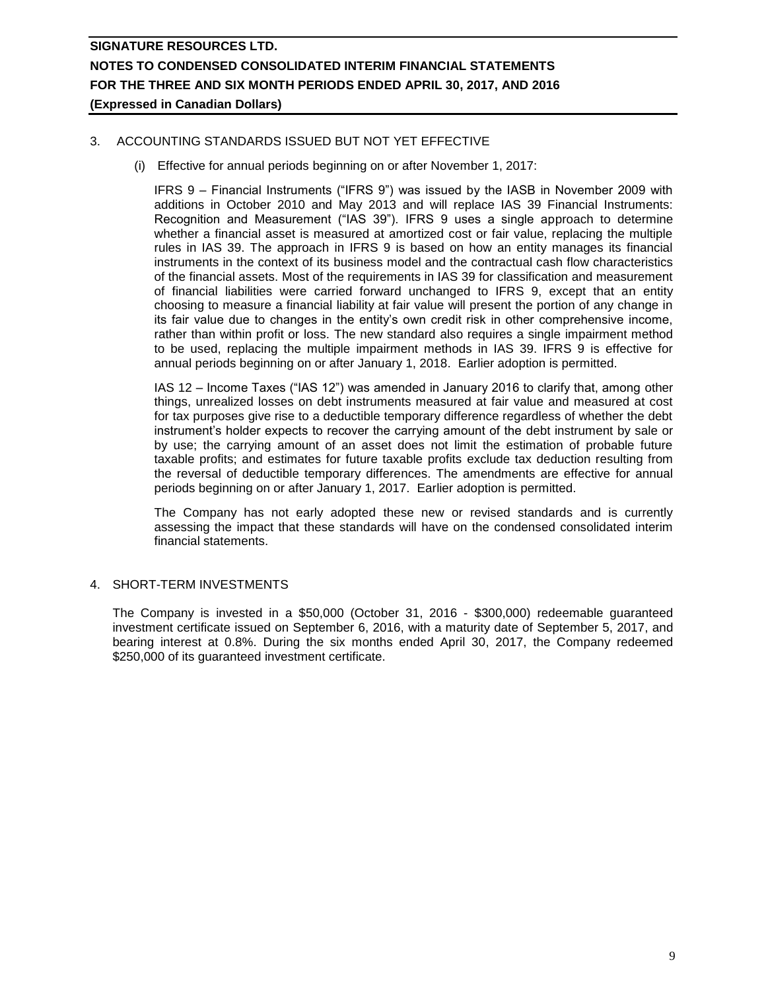### 3. ACCOUNTING STANDARDS ISSUED BUT NOT YET EFFECTIVE

(i) Effective for annual periods beginning on or after November 1, 2017:

IFRS 9 – Financial Instruments ("IFRS 9") was issued by the IASB in November 2009 with additions in October 2010 and May 2013 and will replace IAS 39 Financial Instruments: Recognition and Measurement ("IAS 39"). IFRS 9 uses a single approach to determine whether a financial asset is measured at amortized cost or fair value, replacing the multiple rules in IAS 39. The approach in IFRS 9 is based on how an entity manages its financial instruments in the context of its business model and the contractual cash flow characteristics of the financial assets. Most of the requirements in IAS 39 for classification and measurement of financial liabilities were carried forward unchanged to IFRS 9, except that an entity choosing to measure a financial liability at fair value will present the portion of any change in its fair value due to changes in the entity's own credit risk in other comprehensive income, rather than within profit or loss. The new standard also requires a single impairment method to be used, replacing the multiple impairment methods in IAS 39. IFRS 9 is effective for annual periods beginning on or after January 1, 2018. Earlier adoption is permitted.

IAS 12 – Income Taxes ("IAS 12") was amended in January 2016 to clarify that, among other things, unrealized losses on debt instruments measured at fair value and measured at cost for tax purposes give rise to a deductible temporary difference regardless of whether the debt instrument's holder expects to recover the carrying amount of the debt instrument by sale or by use; the carrying amount of an asset does not limit the estimation of probable future taxable profits; and estimates for future taxable profits exclude tax deduction resulting from the reversal of deductible temporary differences. The amendments are effective for annual periods beginning on or after January 1, 2017. Earlier adoption is permitted.

The Company has not early adopted these new or revised standards and is currently assessing the impact that these standards will have on the condensed consolidated interim financial statements.

#### 4. SHORT-TERM INVESTMENTS

The Company is invested in a \$50,000 (October 31, 2016 - \$300,000) redeemable guaranteed investment certificate issued on September 6, 2016, with a maturity date of September 5, 2017, and bearing interest at 0.8%. During the six months ended April 30, 2017, the Company redeemed \$250,000 of its guaranteed investment certificate.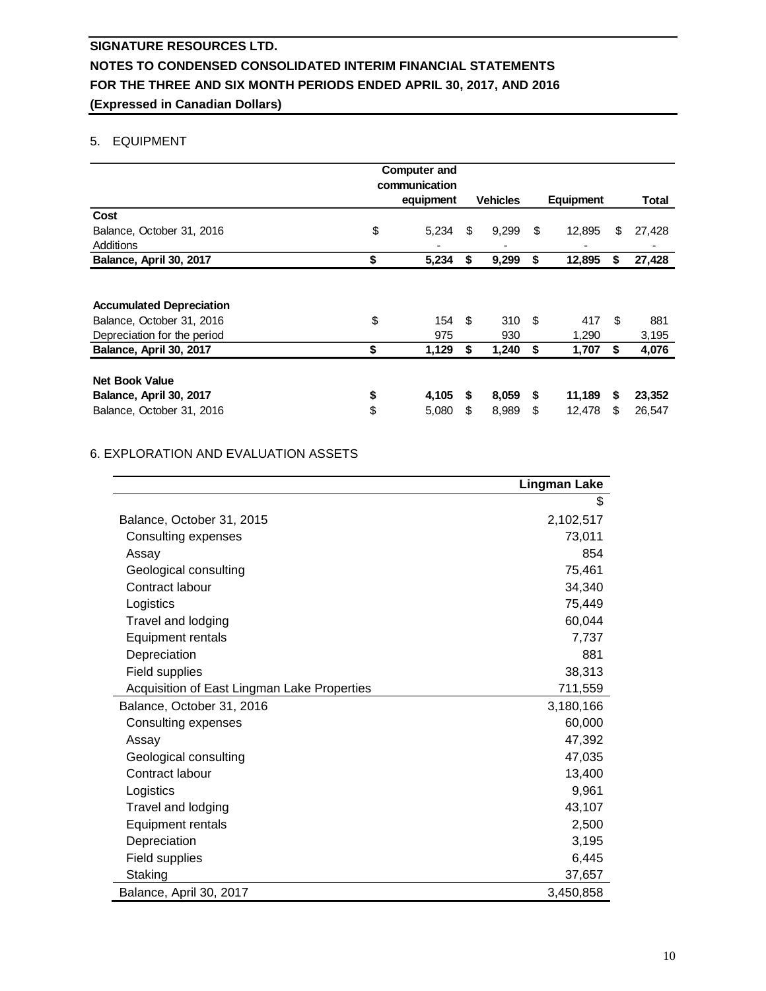### 5. EQUIPMENT

|                                                                                             |          | <b>Computer and</b>        |         |                 |          |                  |        |                  |
|---------------------------------------------------------------------------------------------|----------|----------------------------|---------|-----------------|----------|------------------|--------|------------------|
|                                                                                             |          | communication<br>equipment |         | <b>Vehicles</b> |          | <b>Equipment</b> |        | <b>Total</b>     |
| Cost                                                                                        |          |                            |         |                 |          |                  |        |                  |
| Balance, October 31, 2016                                                                   | \$       | 5,234                      | \$      | 9,299           | S        | 12,895           | \$     | 27,428           |
| Additions                                                                                   |          |                            |         |                 |          |                  |        |                  |
| Balance, April 30, 2017                                                                     | \$       | 5,234                      | S       | 9,299           | \$       | 12,895           | S      | 27,428           |
| <b>Accumulated Depreciation</b><br>Balance, October 31, 2016<br>Depreciation for the period | \$       | 154<br>975                 | \$      | 310S<br>930     |          | 417<br>1,290     | \$.    | 881<br>3,195     |
| Balance, April 30, 2017                                                                     | \$       | 1,129                      | S.      | 1,240           | \$       | 1,707            | S      | 4,076            |
| <b>Net Book Value</b><br>Balance, April 30, 2017<br>Balance, October 31, 2016               | \$<br>\$ | 4,105<br>5,080             | S.<br>S | 8,059<br>8,989  | \$<br>\$ | 11,189<br>12,478 | S<br>S | 23,352<br>26,547 |

### 6. EXPLORATION AND EVALUATION ASSETS

|                                             | <b>Lingman Lake</b> |
|---------------------------------------------|---------------------|
|                                             | \$                  |
| Balance, October 31, 2015                   | 2,102,517           |
| Consulting expenses                         | 73,011              |
| Assay                                       | 854                 |
| Geological consulting                       | 75,461              |
| Contract labour                             | 34,340              |
| Logistics                                   | 75,449              |
| Travel and lodging                          | 60,044              |
| Equipment rentals                           | 7,737               |
| Depreciation                                | 881                 |
| Field supplies                              | 38,313              |
| Acquisition of East Lingman Lake Properties | 711,559             |
| Balance, October 31, 2016                   | 3,180,166           |
| Consulting expenses                         | 60,000              |
| Assay                                       | 47,392              |
| Geological consulting                       | 47,035              |
| Contract labour                             | 13,400              |
| Logistics                                   | 9,961               |
| Travel and lodging                          | 43,107              |
| Equipment rentals                           | 2,500               |
| Depreciation                                | 3,195               |
| Field supplies                              | 6,445               |
| Staking                                     | 37,657              |
| Balance, April 30, 2017                     | 3,450,858           |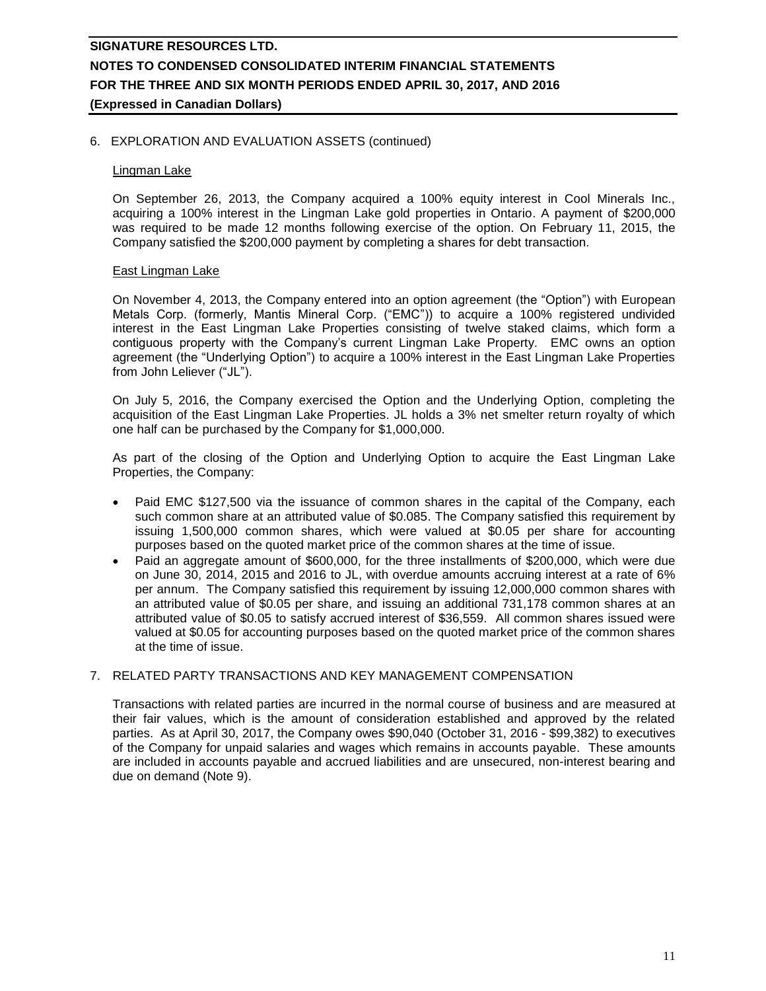### 6. EXPLORATION AND EVALUATION ASSETS (continued)

#### Lingman Lake

On September 26, 2013, the Company acquired a 100% equity interest in Cool Minerals Inc., acquiring a 100% interest in the Lingman Lake gold properties in Ontario. A payment of \$200,000 was required to be made 12 months following exercise of the option. On February 11, 2015, the Company satisfied the \$200,000 payment by completing a shares for debt transaction.

#### East Lingman Lake

On November 4, 2013, the Company entered into an option agreement (the "Option") with European Metals Corp. (formerly, Mantis Mineral Corp. ("EMC")) to acquire a 100% registered undivided interest in the East Lingman Lake Properties consisting of twelve staked claims, which form a contiguous property with the Company's current Lingman Lake Property. EMC owns an option agreement (the "Underlying Option") to acquire a 100% interest in the East Lingman Lake Properties from John Leliever ("JL").

On July 5, 2016, the Company exercised the Option and the Underlying Option, completing the acquisition of the East Lingman Lake Properties. JL holds a 3% net smelter return royalty of which one half can be purchased by the Company for \$1,000,000.

As part of the closing of the Option and Underlying Option to acquire the East Lingman Lake Properties, the Company:

- Paid EMC \$127,500 via the issuance of common shares in the capital of the Company, each such common share at an attributed value of \$0.085. The Company satisfied this requirement by issuing 1,500,000 common shares, which were valued at \$0.05 per share for accounting purposes based on the quoted market price of the common shares at the time of issue.
- Paid an aggregate amount of \$600,000, for the three installments of \$200,000, which were due on June 30, 2014, 2015 and 2016 to JL, with overdue amounts accruing interest at a rate of 6% per annum. The Company satisfied this requirement by issuing 12,000,000 common shares with an attributed value of \$0.05 per share, and issuing an additional 731,178 common shares at an attributed value of \$0.05 to satisfy accrued interest of \$36,559. All common shares issued were valued at \$0.05 for accounting purposes based on the quoted market price of the common shares at the time of issue.

### 7. RELATED PARTY TRANSACTIONS AND KEY MANAGEMENT COMPENSATION

Transactions with related parties are incurred in the normal course of business and are measured at their fair values, which is the amount of consideration established and approved by the related parties. As at April 30, 2017, the Company owes \$90,040 (October 31, 2016 - \$99,382) to executives of the Company for unpaid salaries and wages which remains in accounts payable. These amounts are included in accounts payable and accrued liabilities and are unsecured, non-interest bearing and due on demand (Note 9).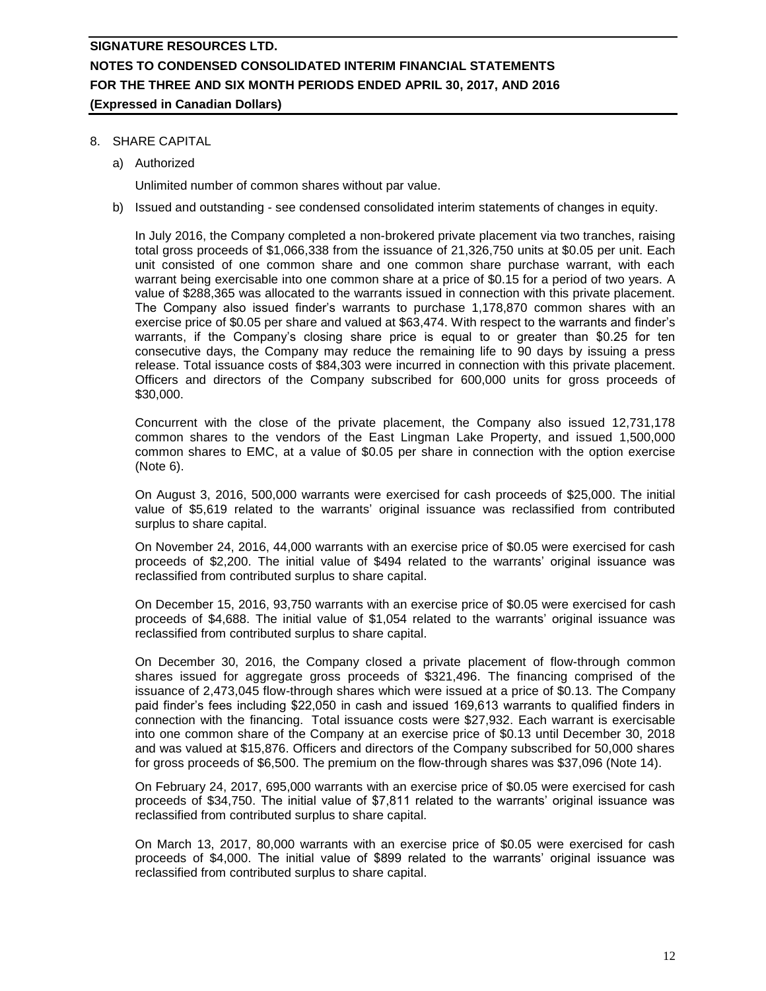### 8. SHARE CAPITAL

a) Authorized

Unlimited number of common shares without par value.

b) Issued and outstanding - see condensed consolidated interim statements of changes in equity.

In July 2016, the Company completed a non-brokered private placement via two tranches, raising total gross proceeds of \$1,066,338 from the issuance of 21,326,750 units at \$0.05 per unit. Each unit consisted of one common share and one common share purchase warrant, with each warrant being exercisable into one common share at a price of \$0.15 for a period of two years. A value of \$288,365 was allocated to the warrants issued in connection with this private placement. The Company also issued finder's warrants to purchase 1,178,870 common shares with an exercise price of \$0.05 per share and valued at \$63,474. With respect to the warrants and finder's warrants, if the Company's closing share price is equal to or greater than \$0.25 for ten consecutive days, the Company may reduce the remaining life to 90 days by issuing a press release. Total issuance costs of \$84,303 were incurred in connection with this private placement. Officers and directors of the Company subscribed for 600,000 units for gross proceeds of \$30,000.

Concurrent with the close of the private placement, the Company also issued 12,731,178 common shares to the vendors of the East Lingman Lake Property, and issued 1,500,000 common shares to EMC, at a value of \$0.05 per share in connection with the option exercise (Note 6).

On August 3, 2016, 500,000 warrants were exercised for cash proceeds of \$25,000. The initial value of \$5,619 related to the warrants' original issuance was reclassified from contributed surplus to share capital.

On November 24, 2016, 44,000 warrants with an exercise price of \$0.05 were exercised for cash proceeds of \$2,200. The initial value of \$494 related to the warrants' original issuance was reclassified from contributed surplus to share capital.

On December 15, 2016, 93,750 warrants with an exercise price of \$0.05 were exercised for cash proceeds of \$4,688. The initial value of \$1,054 related to the warrants' original issuance was reclassified from contributed surplus to share capital.

On December 30, 2016, the Company closed a private placement of flow-through common shares issued for aggregate gross proceeds of \$321,496. The financing comprised of the issuance of 2,473,045 flow-through shares which were issued at a price of \$0.13. The Company paid finder's fees including \$22,050 in cash and issued 169,613 warrants to qualified finders in connection with the financing. Total issuance costs were \$27,932. Each warrant is exercisable into one common share of the Company at an exercise price of \$0.13 until December 30, 2018 and was valued at \$15,876. Officers and directors of the Company subscribed for 50,000 shares for gross proceeds of \$6,500. The premium on the flow-through shares was \$37,096 (Note 14).

On February 24, 2017, 695,000 warrants with an exercise price of \$0.05 were exercised for cash proceeds of \$34,750. The initial value of \$7,811 related to the warrants' original issuance was reclassified from contributed surplus to share capital.

On March 13, 2017, 80,000 warrants with an exercise price of \$0.05 were exercised for cash proceeds of \$4,000. The initial value of \$899 related to the warrants' original issuance was reclassified from contributed surplus to share capital.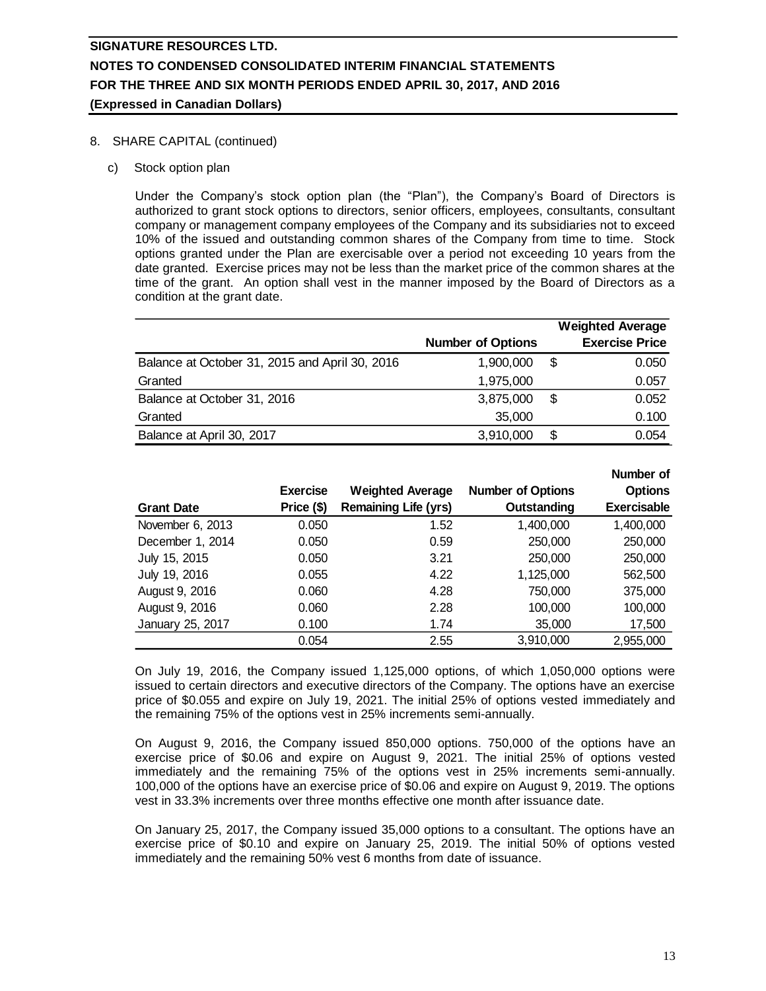### 8. SHARE CAPITAL (continued)

c) Stock option plan

Under the Company's stock option plan (the "Plan"), the Company's Board of Directors is authorized to grant stock options to directors, senior officers, employees, consultants, consultant company or management company employees of the Company and its subsidiaries not to exceed 10% of the issued and outstanding common shares of the Company from time to time. Stock options granted under the Plan are exercisable over a period not exceeding 10 years from the date granted. Exercise prices may not be less than the market price of the common shares at the time of the grant. An option shall vest in the manner imposed by the Board of Directors as a condition at the grant date.

|                                                |                          |    | <b>Weighted Average</b> |
|------------------------------------------------|--------------------------|----|-------------------------|
|                                                | <b>Number of Options</b> |    | <b>Exercise Price</b>   |
| Balance at October 31, 2015 and April 30, 2016 | 1,900,000                | \$ | 0.050                   |
| Granted                                        | 1,975,000                |    | 0.057                   |
| Balance at October 31, 2016                    | 3,875,000                | \$ | 0.052                   |
| Granted                                        | 35,000                   |    | 0.100                   |
| Balance at April 30, 2017                      | 3,910,000                | S  | 0.054                   |

|                   |                 |                             |                          | Number of          |
|-------------------|-----------------|-----------------------------|--------------------------|--------------------|
|                   | <b>Exercise</b> | <b>Weighted Average</b>     | <b>Number of Options</b> | <b>Options</b>     |
| <b>Grant Date</b> | Price (\$)      | <b>Remaining Life (yrs)</b> | Outstanding              | <b>Exercisable</b> |
| November 6, 2013  | 0.050           | 1.52                        | 1,400,000                | 1,400,000          |
| December 1, 2014  | 0.050           | 0.59                        | 250,000                  | 250,000            |
| July 15, 2015     | 0.050           | 3.21                        | 250,000                  | 250,000            |
| July 19, 2016     | 0.055           | 4.22                        | 1,125,000                | 562,500            |
| August 9, 2016    | 0.060           | 4.28                        | 750,000                  | 375,000            |
| August 9, 2016    | 0.060           | 2.28                        | 100,000                  | 100,000            |
| January 25, 2017  | 0.100           | 1.74                        | 35,000                   | 17,500             |
|                   | 0.054           | 2.55                        | 3,910,000                | 2,955,000          |

On July 19, 2016, the Company issued 1,125,000 options, of which 1,050,000 options were issued to certain directors and executive directors of the Company. The options have an exercise price of \$0.055 and expire on July 19, 2021. The initial 25% of options vested immediately and the remaining 75% of the options vest in 25% increments semi-annually.

On August 9, 2016, the Company issued 850,000 options. 750,000 of the options have an exercise price of \$0.06 and expire on August 9, 2021. The initial 25% of options vested immediately and the remaining 75% of the options vest in 25% increments semi-annually. 100,000 of the options have an exercise price of \$0.06 and expire on August 9, 2019. The options vest in 33.3% increments over three months effective one month after issuance date.

On January 25, 2017, the Company issued 35,000 options to a consultant. The options have an exercise price of \$0.10 and expire on January 25, 2019. The initial 50% of options vested immediately and the remaining 50% vest 6 months from date of issuance.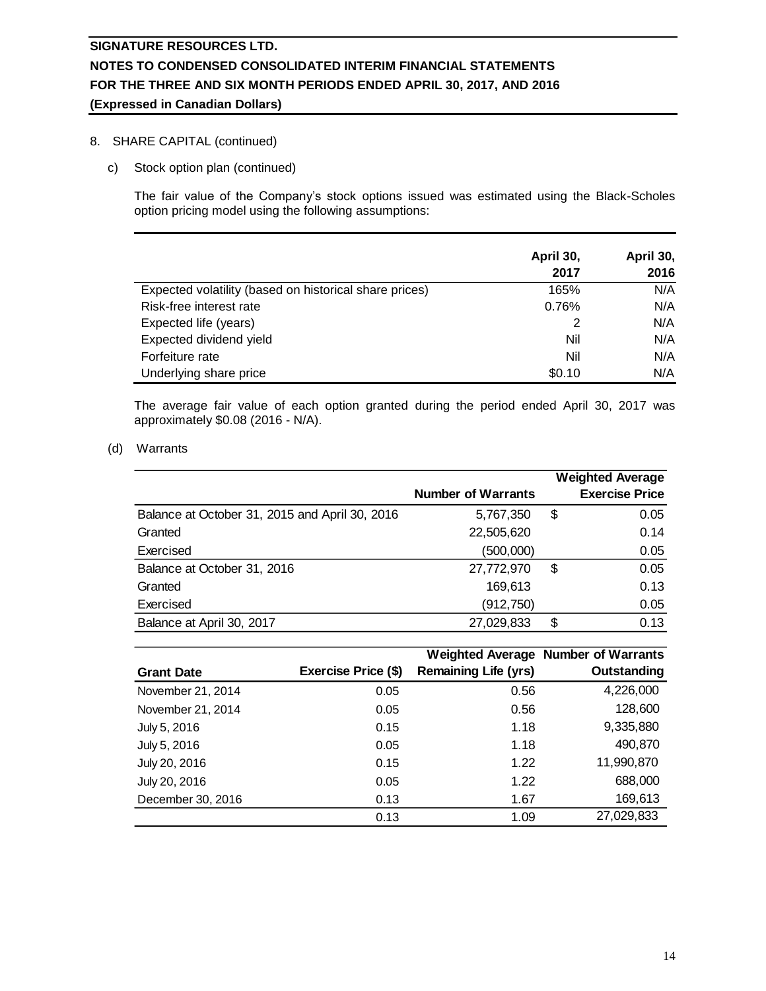### 8. SHARE CAPITAL (continued)

c) Stock option plan (continued)

The fair value of the Company's stock options issued was estimated using the Black-Scholes option pricing model using the following assumptions:

|                                                        | April 30, | April 30, |
|--------------------------------------------------------|-----------|-----------|
|                                                        | 2017      | 2016      |
| Expected volatility (based on historical share prices) | 165%      | N/A       |
| Risk-free interest rate                                | 0.76%     | N/A       |
| Expected life (years)                                  |           | N/A       |
| Expected dividend yield                                | Nil       | N/A       |
| Forfeiture rate                                        | Nil       | N/A       |
| Underlying share price                                 | \$0.10    | N/A       |

The average fair value of each option granted during the period ended April 30, 2017 was approximately \$0.08 (2016 - N/A).

#### (d) Warrants

|                                                |                           | <b>Weighted Average</b> |
|------------------------------------------------|---------------------------|-------------------------|
|                                                | <b>Number of Warrants</b> | <b>Exercise Price</b>   |
| Balance at October 31, 2015 and April 30, 2016 | 5,767,350                 | \$<br>0.05              |
| Granted                                        | 22,505,620                | 0.14                    |
| Exercised                                      | (500,000)                 | 0.05                    |
| Balance at October 31, 2016                    | 27,772,970                | \$<br>0.05              |
| Granted                                        | 169,613                   | 0.13                    |
| Exercised                                      | (912, 750)                | 0.05                    |
| Balance at April 30, 2017                      | 27,029,833                | \$<br>0.13              |

|                   |                     |                             | <b>Weighted Average Number of Warrants</b> |
|-------------------|---------------------|-----------------------------|--------------------------------------------|
| <b>Grant Date</b> | Exercise Price (\$) | <b>Remaining Life (yrs)</b> | Outstanding                                |
| November 21, 2014 | 0.05                | 0.56                        | 4,226,000                                  |
| November 21, 2014 | 0.05                | 0.56                        | 128,600                                    |
| July 5, 2016      | 0.15                | 1.18                        | 9,335,880                                  |
| July 5, 2016      | 0.05                | 1.18                        | 490,870                                    |
| July 20, 2016     | 0.15                | 1.22                        | 11,990,870                                 |
| July 20, 2016     | 0.05                | 1.22                        | 688,000                                    |
| December 30, 2016 | 0.13                | 1.67                        | 169,613                                    |
|                   | 0.13                | 1.09                        | 27,029,833                                 |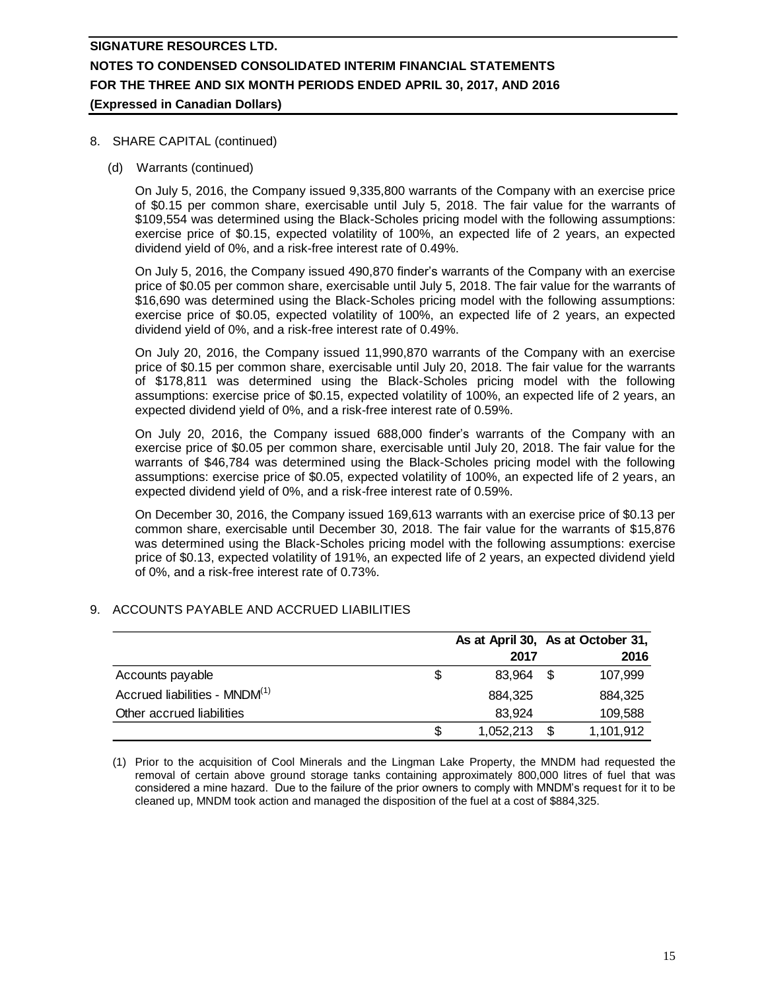### 8. SHARE CAPITAL (continued)

(d) Warrants (continued)

On July 5, 2016, the Company issued 9,335,800 warrants of the Company with an exercise price of \$0.15 per common share, exercisable until July 5, 2018. The fair value for the warrants of \$109,554 was determined using the Black-Scholes pricing model with the following assumptions: exercise price of \$0.15, expected volatility of 100%, an expected life of 2 years, an expected dividend yield of 0%, and a risk-free interest rate of 0.49%.

On July 5, 2016, the Company issued 490,870 finder's warrants of the Company with an exercise price of \$0.05 per common share, exercisable until July 5, 2018. The fair value for the warrants of \$16,690 was determined using the Black-Scholes pricing model with the following assumptions: exercise price of \$0.05, expected volatility of 100%, an expected life of 2 years, an expected dividend yield of 0%, and a risk-free interest rate of 0.49%.

On July 20, 2016, the Company issued 11,990,870 warrants of the Company with an exercise price of \$0.15 per common share, exercisable until July 20, 2018. The fair value for the warrants of \$178,811 was determined using the Black-Scholes pricing model with the following assumptions: exercise price of \$0.15, expected volatility of 100%, an expected life of 2 years, an expected dividend yield of 0%, and a risk-free interest rate of 0.59%.

On July 20, 2016, the Company issued 688,000 finder's warrants of the Company with an exercise price of \$0.05 per common share, exercisable until July 20, 2018. The fair value for the warrants of \$46,784 was determined using the Black-Scholes pricing model with the following assumptions: exercise price of \$0.05, expected volatility of 100%, an expected life of 2 years, an expected dividend yield of 0%, and a risk-free interest rate of 0.59%.

On December 30, 2016, the Company issued 169,613 warrants with an exercise price of \$0.13 per common share, exercisable until December 30, 2018. The fair value for the warrants of \$15,876 was determined using the Black-Scholes pricing model with the following assumptions: exercise price of \$0.13, expected volatility of 191%, an expected life of 2 years, an expected dividend yield of 0%, and a risk-free interest rate of 0.73%.

### 9. ACCOUNTS PAYABLE AND ACCRUED LIABILITIES

|                                           | As at April 30, As at October 31, |    |           |
|-------------------------------------------|-----------------------------------|----|-----------|
|                                           | 2017                              |    | 2016      |
| Accounts payable                          | 83.964                            | £. | 107,999   |
| Accrued liabilities - MNDM <sup>(1)</sup> | 884.325                           |    | 884.325   |
| Other accrued liabilities                 | 83.924                            |    | 109,588   |
|                                           | 1,052,213                         |    | 1,101,912 |

(1) Prior to the acquisition of Cool Minerals and the Lingman Lake Property, the MNDM had requested the removal of certain above ground storage tanks containing approximately 800,000 litres of fuel that was considered a mine hazard. Due to the failure of the prior owners to comply with MNDM's request for it to be cleaned up, MNDM took action and managed the disposition of the fuel at a cost of \$884,325.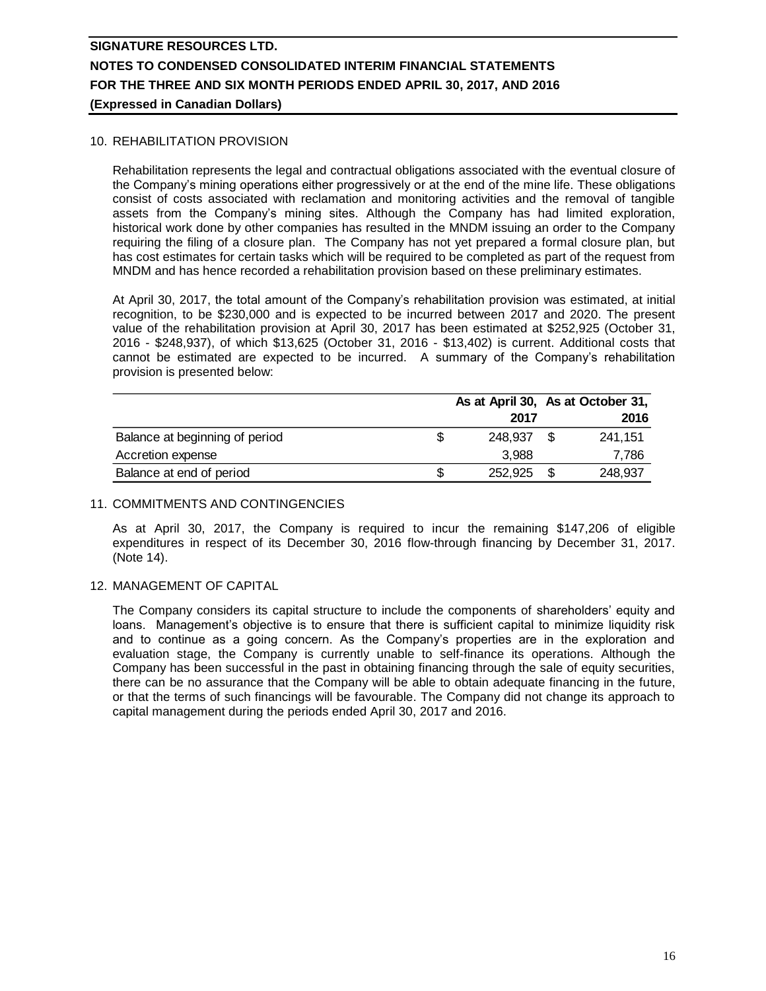### 10. REHABILITATION PROVISION

Rehabilitation represents the legal and contractual obligations associated with the eventual closure of the Company's mining operations either progressively or at the end of the mine life. These obligations consist of costs associated with reclamation and monitoring activities and the removal of tangible assets from the Company's mining sites. Although the Company has had limited exploration, historical work done by other companies has resulted in the MNDM issuing an order to the Company requiring the filing of a closure plan. The Company has not yet prepared a formal closure plan, but has cost estimates for certain tasks which will be required to be completed as part of the request from MNDM and has hence recorded a rehabilitation provision based on these preliminary estimates.

At April 30, 2017, the total amount of the Company's rehabilitation provision was estimated, at initial recognition, to be \$230,000 and is expected to be incurred between 2017 and 2020. The present value of the rehabilitation provision at April 30, 2017 has been estimated at \$252,925 (October 31, 2016 - \$248,937), of which \$13,625 (October 31, 2016 - \$13,402) is current. Additional costs that cannot be estimated are expected to be incurred. A summary of the Company's rehabilitation provision is presented below:

|                                |         |      | As at April 30, As at October 31, |  |
|--------------------------------|---------|------|-----------------------------------|--|
|                                | 2017    |      | 2016                              |  |
| Balance at beginning of period | 248.937 | - 56 | 241,151                           |  |
| Accretion expense              | 3.988   |      | 7,786                             |  |
| Balance at end of period       | 252.925 |      | 248,937                           |  |

#### 11. COMMITMENTS AND CONTINGENCIES

As at April 30, 2017, the Company is required to incur the remaining \$147,206 of eligible expenditures in respect of its December 30, 2016 flow-through financing by December 31, 2017. (Note 14).

### 12. MANAGEMENT OF CAPITAL

The Company considers its capital structure to include the components of shareholders' equity and loans. Management's objective is to ensure that there is sufficient capital to minimize liquidity risk and to continue as a going concern. As the Company's properties are in the exploration and evaluation stage, the Company is currently unable to self-finance its operations. Although the Company has been successful in the past in obtaining financing through the sale of equity securities, there can be no assurance that the Company will be able to obtain adequate financing in the future, or that the terms of such financings will be favourable. The Company did not change its approach to capital management during the periods ended April 30, 2017 and 2016.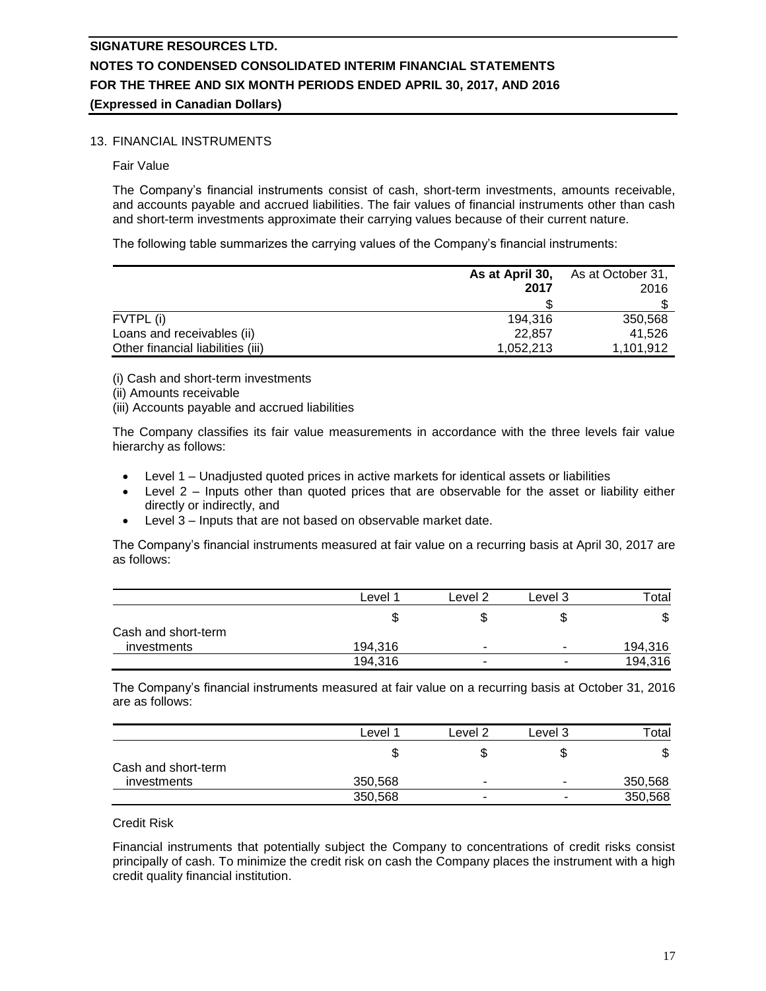### 13. FINANCIAL INSTRUMENTS

Fair Value

The Company's financial instruments consist of cash, short-term investments, amounts receivable, and accounts payable and accrued liabilities. The fair values of financial instruments other than cash and short-term investments approximate their carrying values because of their current nature.

The following table summarizes the carrying values of the Company's financial instruments:

|                                   | As at April 30,<br>2017 | As at October 31,<br>2016 |  |
|-----------------------------------|-------------------------|---------------------------|--|
|                                   |                         |                           |  |
| FVTPL (i)                         | 194.316                 | 350.568                   |  |
| Loans and receivables (ii)        | 22.857                  | 41.526                    |  |
| Other financial liabilities (iii) | 1,052,213               | 1,101,912                 |  |

(i) Cash and short-term investments

- (ii) Amounts receivable
- (iii) Accounts payable and accrued liabilities

The Company classifies its fair value measurements in accordance with the three levels fair value hierarchy as follows:

- Level 1 Unadjusted quoted prices in active markets for identical assets or liabilities
- Level 2 Inputs other than quoted prices that are observable for the asset or liability either directly or indirectly, and
- Level 3 Inputs that are not based on observable market date.

The Company's financial instruments measured at fair value on a recurring basis at April 30, 2017 are as follows:

|                     | ∟evel   | Level 2                  | Level 3                  | $\tau$ <sub>otal</sub> |
|---------------------|---------|--------------------------|--------------------------|------------------------|
|                     | J       |                          | S                        | ጥ<br>Φ                 |
| Cash and short-term |         |                          |                          |                        |
| investments         | 194.316 |                          | ۰                        | 194,316                |
|                     | 194,316 | $\overline{\phantom{a}}$ | $\overline{\phantom{a}}$ | 194,316                |

The Company's financial instruments measured at fair value on a recurring basis at October 31, 2016 are as follows:

|                     | Level   | Level 2                  | Level 3 | Total   |
|---------------------|---------|--------------------------|---------|---------|
|                     |         |                          | æ       | Φ       |
| Cash and short-term |         |                          |         |         |
| investments         | 350,568 |                          |         | 350,568 |
|                     | 350,568 | $\overline{\phantom{a}}$ |         | 350,568 |

#### Credit Risk

Financial instruments that potentially subject the Company to concentrations of credit risks consist principally of cash. To minimize the credit risk on cash the Company places the instrument with a high credit quality financial institution.